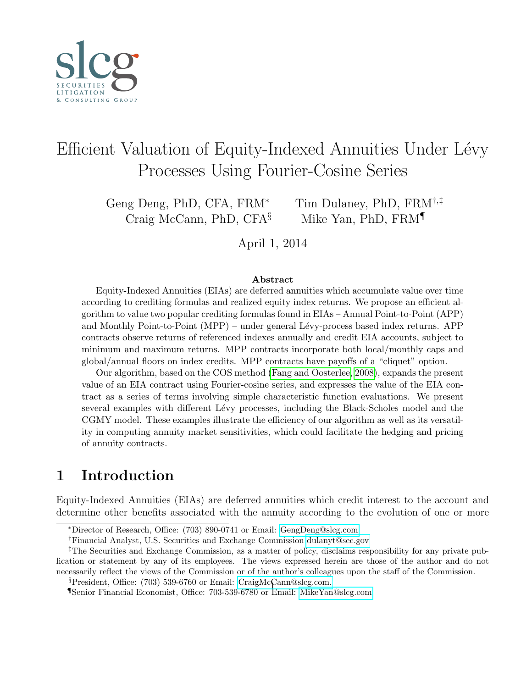<span id="page-0-0"></span>

# Efficient Valuation of Equity-Indexed Annuities Under Lévy Processes Using Fourier-Cosine Series

Craig McCann, PhD, CFA $\S$  Mike Yan, PhD, FRM

Geng Deng, PhD, CFA, FRM<sup>∗</sup> Tim Dulaney, PhD, FRM†,‡

April 1, 2014

#### Abstract

Equity-Indexed Annuities (EIAs) are deferred annuities which accumulate value over time according to crediting formulas and realized equity index returns. We propose an efficient algorithm to value two popular crediting formulas found in EIAs – Annual Point-to-Point (APP) and Monthly Point-to-Point (MPP) – under general Lévy-process based index returns. APP contracts observe returns of referenced indexes annually and credit EIA accounts, subject to minimum and maximum returns. MPP contracts incorporate both local/monthly caps and global/annual floors on index credits. MPP contracts have payoffs of a "cliquet" option.

Our algorithm, based on the COS method [\(Fang and Oosterlee, 2008\)](#page-20-0), expands the present value of an EIA contract using Fourier-cosine series, and expresses the value of the EIA contract as a series of terms involving simple characteristic function evaluations. We present several examples with different Lévy processes, including the Black-Scholes model and the CGMY model. These examples illustrate the efficiency of our algorithm as well as its versatility in computing annuity market sensitivities, which could facilitate the hedging and pricing of annuity contracts.

# 1 Introduction

Equity-Indexed Annuities (EIAs) are deferred annuities which credit interest to the account and determine other benefits associated with the annuity according to the evolution of one or more

§President, Office: (703) 539-6760 or Email: [CraigMcCann@slcg.com.](mailto:CraigMcCann@slcg.com)

¶Senior Financial Economist, Office: 703-539-6780 or Email: [MikeYan@slcg.com](mailto:MikeYan@slcg.com) <sup>1</sup>

<sup>∗</sup>Director of Research, Office: (703) 890-0741 or Email: [GengDeng@slcg.com](mailto:GengDeng@slcg.com)

<sup>†</sup>Financial Analyst, U.S. Securities and Exchange Commission [dulanyt@sec.gov](mailto:dulanyt@sec.gov)

<sup>‡</sup>The Securities and Exchange Commission, as a matter of policy, disclaims responsibility for any private publication or statement by any of its employees. The views expressed herein are those of the author and do not necessarily reflect the views of the Commission or of the author's colleagues upon the staff of the Commission.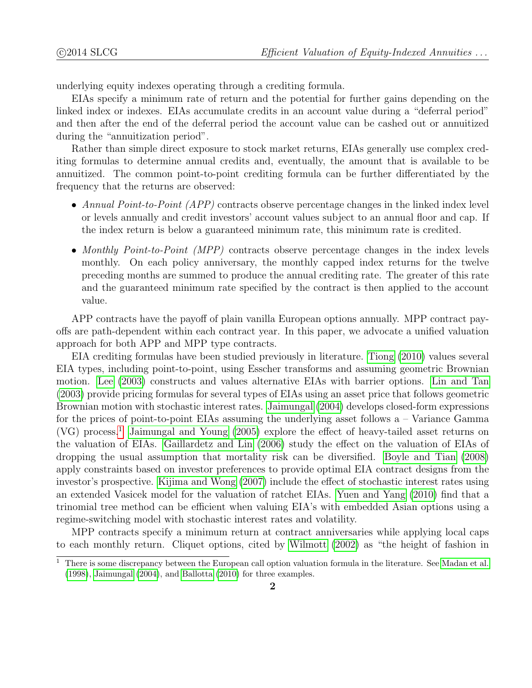underlying equity indexes operating through a crediting formula.

EIAs specify a minimum rate of return and the potential for further gains depending on the linked index or indexes. EIAs accumulate credits in an account value during a "deferral period" and then after the end of the deferral period the account value can be cashed out or annuitized during the "annuitization period".

Rather than simple direct exposure to stock market returns, EIAs generally use complex crediting formulas to determine annual credits and, eventually, the amount that is available to be annuitized. The common point-to-point crediting formula can be further differentiated by the frequency that the returns are observed:

- Annual Point-to-Point (APP) contracts observe percentage changes in the linked index level or levels annually and credit investors' account values subject to an annual floor and cap. If the index return is below a guaranteed minimum rate, this minimum rate is credited.
- Monthly Point-to-Point (MPP) contracts observe percentage changes in the index levels monthly. On each policy anniversary, the monthly capped index returns for the twelve preceding months are summed to produce the annual crediting rate. The greater of this rate and the guaranteed minimum rate specified by the contract is then applied to the account value.

APP contracts have the payoff of plain vanilla European options annually. MPP contract payoffs are path-dependent within each contract year. In this paper, we advocate a unified valuation approach for both APP and MPP type contracts.

EIA crediting formulas have been studied previously in literature. [Tiong \(2010\)](#page-21-0) values several EIA types, including point-to-point, using Esscher transforms and assuming geometric Brownian motion. [Lee \(2003\)](#page-21-1) constructs and values alternative EIAs with barrier options. [Lin and Tan](#page-21-2) [\(2003\)](#page-21-2) provide pricing formulas for several types of EIAs using an asset price that follows geometric Brownian motion with stochastic interest rates. [Jaimungal \(2004\)](#page-20-1) develops closed-form expressions for the prices of point-to-point EIAs assuming the underlying asset follows a – Variance Gamma  $(VG)$  process.<sup>[1](#page-0-0)</sup> Jaimungal and Young  $(2005)$  explore the effect of heavy-tailed asset returns on the valuation of EIAs. [Gaillardetz and Lin \(2006\)](#page-20-3) study the effect on the valuation of EIAs of dropping the usual assumption that mortality risk can be diversified. [Boyle and Tian \(2008\)](#page-20-4) apply constraints based on investor preferences to provide optimal EIA contract designs from the investor's prospective. [Kijima and Wong \(2007\)](#page-20-5) include the effect of stochastic interest rates using an extended Vasicek model for the valuation of ratchet EIAs. [Yuen and Yang \(2010\)](#page-21-3) find that a trinomial tree method can be efficient when valuing EIA's with embedded Asian options using a regime-switching model with stochastic interest rates and volatility.

MPP contracts specify a minimum return at contract anniversaries while applying local caps to each monthly return. Cliquet options, cited by [Wilmott \(2002\)](#page-21-4) as "the height of fashion in

 $1$  There is some discrepancy between the European call option valuation formula in the literature. See [Madan et al.](#page-21-5) [\(1998\)](#page-21-5), [Jaimungal](#page-20-1) [\(2004\)](#page-20-1), and [Ballotta](#page-20-6) [\(2010\)](#page-20-6) for three examples.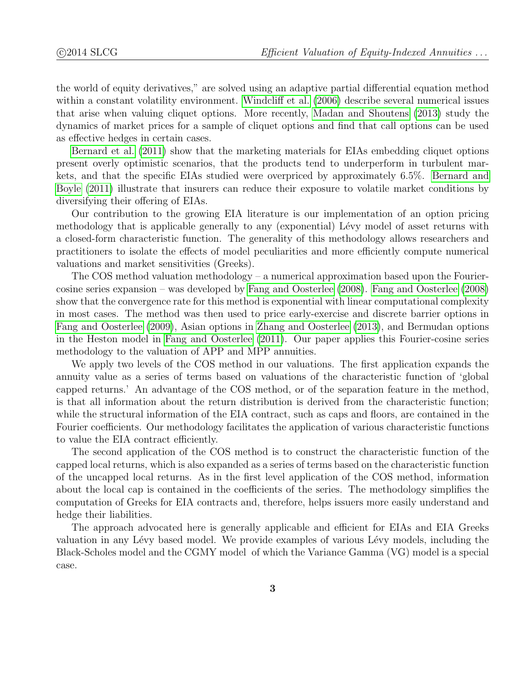the world of equity derivatives," are solved using an adaptive partial differential equation method within a constant volatility environment. [Windcliff et al. \(2006\)](#page-21-6) describe several numerical issues that arise when valuing cliquet options. More recently, [Madan and Shoutens \(2013\)](#page-21-7) study the dynamics of market prices for a sample of cliquet options and find that call options can be used as effective hedges in certain cases.

[Bernard et al. \(2011\)](#page-20-7) show that the marketing materials for EIAs embedding cliquet options present overly optimistic scenarios, that the products tend to underperform in turbulent markets, and that the specific EIAs studied were overpriced by approximately 6.5%. [Bernard and](#page-20-8) [Boyle \(2011\)](#page-20-8) illustrate that insurers can reduce their exposure to volatile market conditions by diversifying their offering of EIAs.

Our contribution to the growing EIA literature is our implementation of an option pricing methodology that is applicable generally to any (exponential) Lévy model of asset returns with a closed-form characteristic function. The generality of this methodology allows researchers and practitioners to isolate the effects of model peculiarities and more efficiently compute numerical valuations and market sensitivities (Greeks).

The COS method valuation methodology – a numerical approximation based upon the Fouriercosine series expansion – was developed by [Fang and Oosterlee \(2008\)](#page-20-0). [Fang and Oosterlee \(2008\)](#page-20-0) show that the convergence rate for this method is exponential with linear computational complexity in most cases. The method was then used to price early-exercise and discrete barrier options in [Fang and Oosterlee \(2009\)](#page-20-9), Asian options in [Zhang and Oosterlee \(2013\)](#page-21-8), and Bermudan options in the Heston model in [Fang and Oosterlee \(2011\)](#page-20-10). Our paper applies this Fourier-cosine series methodology to the valuation of APP and MPP annuities.

We apply two levels of the COS method in our valuations. The first application expands the annuity value as a series of terms based on valuations of the characteristic function of 'global capped returns.' An advantage of the COS method, or of the separation feature in the method, is that all information about the return distribution is derived from the characteristic function; while the structural information of the EIA contract, such as caps and floors, are contained in the Fourier coefficients. Our methodology facilitates the application of various characteristic functions to value the EIA contract efficiently.

The second application of the COS method is to construct the characteristic function of the capped local returns, which is also expanded as a series of terms based on the characteristic function of the uncapped local returns. As in the first level application of the COS method, information about the local cap is contained in the coefficients of the series. The methodology simplifies the computation of Greeks for EIA contracts and, therefore, helps issuers more easily understand and hedge their liabilities.

The approach advocated here is generally applicable and efficient for EIAs and EIA Greeks valuation in any Lévy based model. We provide examples of various Lévy models, including the Black-Scholes model and the CGMY model of which the Variance Gamma (VG) model is a special case.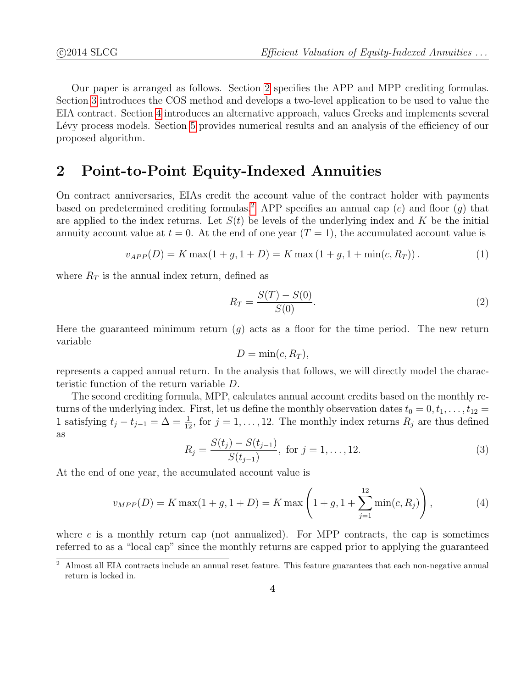Our paper is arranged as follows. Section [2](#page-3-0) specifies the APP and MPP crediting formulas. Section [3](#page-4-0) introduces the COS method and develops a two-level application to be used to value the EIA contract. Section [4](#page-9-0) introduces an alternative approach, values Greeks and implements several Lévy process models. Section [5](#page-13-0) provides numerical results and an analysis of the efficiency of our proposed algorithm.

### <span id="page-3-0"></span>2 Point-to-Point Equity-Indexed Annuities

On contract anniversaries, EIAs credit the account value of the contract holder with payments based on predetermined crediting formulas.<sup>[2](#page-0-0)</sup> APP specifies an annual cap  $(c)$  and floor  $(q)$  that are applied to the index returns. Let  $S(t)$  be levels of the underlying index and K be the initial annuity account value at  $t = 0$ . At the end of one year  $(T = 1)$ , the accumulated account value is

$$
v_{APP}(D) = K \max(1 + g, 1 + D) = K \max(1 + g, 1 + \min(c, R_T)).
$$
\n(1)

where  $R_T$  is the annual index return, defined as

$$
R_T = \frac{S(T) - S(0)}{S(0)}.\t(2)
$$

Here the guaranteed minimum return  $(g)$  acts as a floor for the time period. The new return variable

$$
D = \min(c, R_T),
$$

represents a capped annual return. In the analysis that follows, we will directly model the characteristic function of the return variable D.

The second crediting formula, MPP, calculates annual account credits based on the monthly returns of the underlying index. First, let us define the monthly observation dates  $t_0 = 0, t_1, \ldots, t_{12} =$ 1 satisfying  $t_j - t_{j-1} = \Delta = \frac{1}{12}$ , for  $j = 1, \ldots, 12$ . The monthly index returns  $R_j$  are thus defined as

$$
R_j = \frac{S(t_j) - S(t_{j-1})}{S(t_{j-1})}, \text{ for } j = 1, ..., 12.
$$
 (3)

At the end of one year, the accumulated account value is

$$
v_{MPP}(D) = K \max(1+g, 1+D) = K \max\left(1+g, 1+\sum_{j=1}^{12} \min(c, R_j)\right),\tag{4}
$$

where c is a monthly return cap (not annualized). For MPP contracts, the cap is sometimes referred to as a "local cap" since the monthly returns are capped prior to applying the guaranteed

<sup>2</sup> Almost all EIA contracts include an annual reset feature. This feature guarantees that each non-negative annual return is locked in.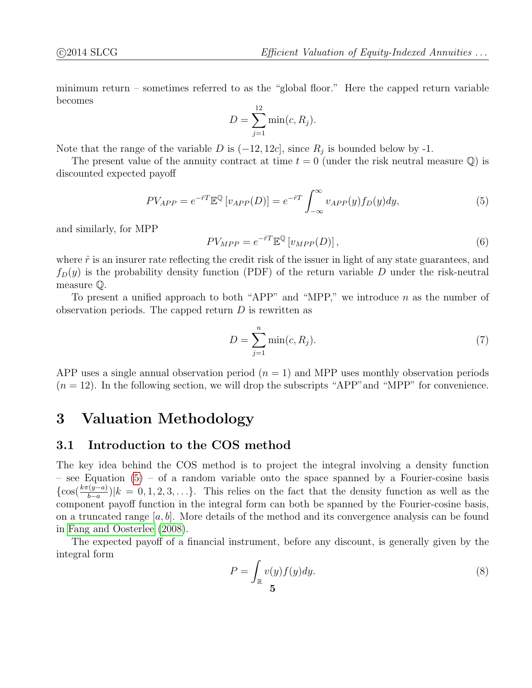<span id="page-4-1"></span>minimum return – sometimes referred to as the "global floor." Here the capped return variable becomes

$$
D = \sum_{j=1}^{12} \min(c, R_j).
$$

Note that the range of the variable D is  $(-12, 12c]$ , since  $R_j$  is bounded below by -1.

The present value of the annuity contract at time  $t = 0$  (under the risk neutral measure  $\mathbb{Q}$ ) is discounted expected payoff

$$
PV_{APP} = e^{-\hat{r}T} \mathbb{E}^{\mathbb{Q}} \left[ v_{APP}(D) \right] = e^{-\hat{r}T} \int_{-\infty}^{\infty} v_{APP}(y) f_D(y) dy,
$$
 (5)

and similarly, for MPP

$$
PV_{MPP} = e^{-\hat{r}T} \mathbb{E}^{\mathbb{Q}} \left[ v_{MPP}(D) \right],\tag{6}
$$

where  $\hat{r}$  is an insurer rate reflecting the credit risk of the issuer in light of any state guarantees, and  $f_D(y)$  is the probability density function (PDF) of the return variable D under the risk-neutral measure Q.

To present a unified approach to both "APP" and "MPP," we introduce  $n$  as the number of observation periods. The capped return  $D$  is rewritten as

$$
D = \sum_{j=1}^{n} \min(c, R_j). \tag{7}
$$

APP uses a single annual observation period  $(n = 1)$  and MPP uses monthly observation periods  $(n = 12)$ . In the following section, we will drop the subscripts "APP" and "MPP" for convenience.

## <span id="page-4-0"></span>3 Valuation Methodology

### 3.1 Introduction to the COS method

The key idea behind the COS method is to project the integral involving a density function – see Equation [\(5\)](#page-4-1) – of a random variable onto the space spanned by a Fourier-cosine basis  $\{\cos(\frac{k\pi(y-a)}{b-a})|k=0,1,2,3,\ldots\}$ . This relies on the fact that the density function as well as the component payoff function in the integral form can both be spanned by the Fourier-cosine basis, on a truncated range  $[a, b]$ . More details of the method and its convergence analysis can be found in [Fang and Oosterlee \(2008\)](#page-20-0).

The expected payoff of a financial instrument, before any discount, is generally given by the integral form

$$
P = \int_{\mathbb{R}} v(y)f(y)dy.
$$
 (8)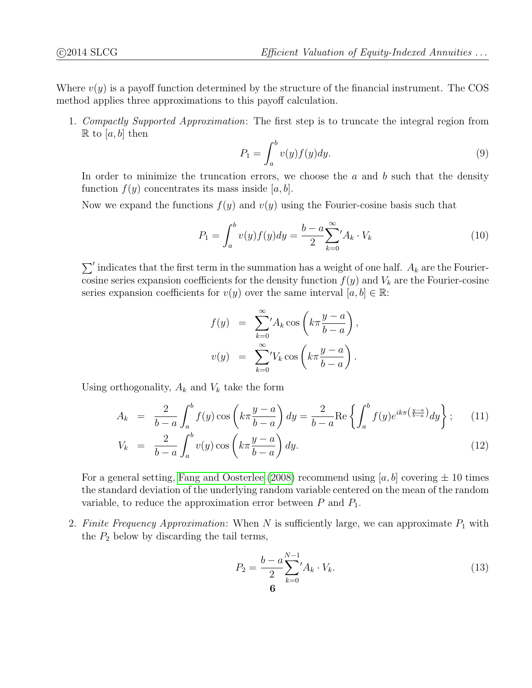Where  $v(y)$  is a payoff function determined by the structure of the financial instrument. The COS method applies three approximations to this payoff calculation.

1. Compactly Supported Approximation: The first step is to truncate the integral region from  $\mathbb R$  to [a, b] then

$$
P_1 = \int_a^b v(y)f(y)dy.
$$
\n(9)

In order to minimize the truncation errors, we choose the  $a$  and  $b$  such that the density function  $f(y)$  concentrates its mass inside [a, b].

Now we expand the functions  $f(y)$  and  $v(y)$  using the Fourier-cosine basis such that

$$
P_1 = \int_a^b v(y)f(y)dy = \frac{b-a}{2} \sum_{k=0}^{\infty} A_k \cdot V_k
$$
 (10)

 $\sum'$  indicates that the first term in the summation has a weight of one half.  $A_k$  are the Fouriercosine series expansion coefficients for the density function  $f(y)$  and  $V_k$  are the Fourier-cosine series expansion coefficients for  $v(y)$  over the same interval  $[a, b] \in \mathbb{R}$ :

$$
f(y) = \sum_{k=0}^{\infty} A_k \cos\left(k\pi \frac{y-a}{b-a}\right),
$$
  

$$
v(y) = \sum_{k=0}^{\infty} V_k \cos\left(k\pi \frac{y-a}{b-a}\right).
$$

Using orthogonality,  $A_k$  and  $V_k$  take the form

$$
A_k = \frac{2}{b-a} \int_a^b f(y) \cos\left(k\pi \frac{y-a}{b-a}\right) dy = \frac{2}{b-a} \text{Re}\left\{\int_a^b f(y) e^{ik\pi\left(\frac{y-a}{b-a}\right)} dy\right\};\tag{11}
$$

$$
V_k = \frac{2}{b-a} \int_a^b v(y) \cos\left(k\pi \frac{y-a}{b-a}\right) dy.
$$
 (12)

For a general setting, [Fang and Oosterlee \(2008\)](#page-20-0) recommend using [a, b] covering  $\pm$  10 times the standard deviation of the underlying random variable centered on the mean of the random variable, to reduce the approximation error between  $P$  and  $P_1$ .

2. Finite Frequency Approximation: When  $N$  is sufficiently large, we can approximate  $P_1$  with the  $P_2$  below by discarding the tail terms,

$$
P_2 = \frac{b - a}{2} \sum_{k=0}^{N-1} A_k \cdot V_k.
$$
\n(13)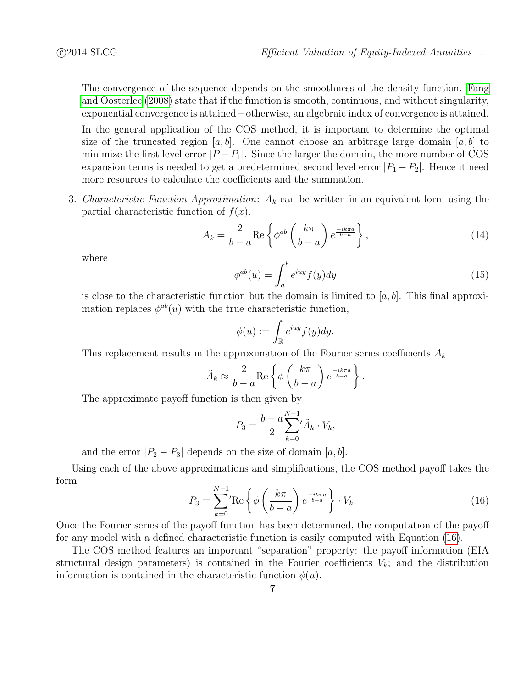The convergence of the sequence depends on the smoothness of the density function. [Fang](#page-20-0) [and Oosterlee \(2008\)](#page-20-0) state that if the function is smooth, continuous, and without singularity, exponential convergence is attained – otherwise, an algebraic index of convergence is attained.

In the general application of the COS method, it is important to determine the optimal size of the truncated region [a, b]. One cannot choose an arbitrage large domain [a, b] to minimize the first level error  $|P - P_1|$ . Since the larger the domain, the more number of COS expansion terms is needed to get a predetermined second level error  $|P_1 - P_2|$ . Hence it need more resources to calculate the coefficients and the summation.

3. Characteristic Function Approximation:  $A_k$  can be written in an equivalent form using the partial characteristic function of  $f(x)$ .

$$
A_k = \frac{2}{b-a} \text{Re} \left\{ \phi^{ab} \left( \frac{k\pi}{b-a} \right) e^{\frac{-ik\pi a}{b-a}} \right\},\tag{14}
$$

where

$$
\phi^{ab}(u) = \int_a^b e^{iuy} f(y) dy \tag{15}
$$

is close to the characteristic function but the domain is limited to  $[a, b]$ . This final approximation replaces  $\phi^{ab}(u)$  with the true characteristic function,

<span id="page-6-0"></span>
$$
\phi(u) := \int_{\mathbb{R}} e^{iuy} f(y) dy.
$$

This replacement results in the approximation of the Fourier series coefficients  $A_k$ 

$$
\tilde{A}_k \approx \frac{2}{b-a} \text{Re} \left\{ \phi \left( \frac{k\pi}{b-a} \right) e^{\frac{-ik\pi a}{b-a}} \right\}.
$$

The approximate payoff function is then given by

$$
P_3 = \frac{b-a}{2} \sum_{k=0}^{N-1} \tilde{A}_k \cdot V_k,
$$

and the error  $|P_2 - P_3|$  depends on the size of domain  $[a, b]$ .

Using each of the above approximations and simplifications, the COS method payoff takes the form

$$
P_3 = \sum_{k=0}^{N-1} \text{Re}\left\{\phi\left(\frac{k\pi}{b-a}\right)e^{\frac{-ik\pi a}{b-a}}\right\} \cdot V_k. \tag{16}
$$

Once the Fourier series of the payoff function has been determined, the computation of the payoff for any model with a defined characteristic function is easily computed with Equation [\(16\)](#page-6-0).

The COS method features an important "separation" property: the payoff information (EIA structural design parameters) is contained in the Fourier coefficients  $V_k$ ; and the distribution information is contained in the characteristic function  $\phi(u)$ .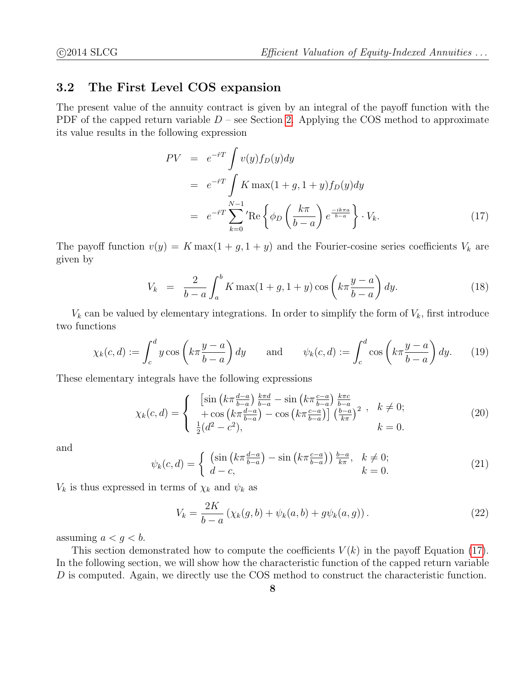### 3.2 The First Level COS expansion

The present value of the annuity contract is given by an integral of the payoff function with the PDF of the capped return variable  $D$  – see Section [2.](#page-3-0) Applying the COS method to approximate its value results in the following expression

<span id="page-7-0"></span>
$$
PV = e^{-iT} \int v(y) f_D(y) dy
$$
  
=  $e^{-iT} \int K \max(1 + g, 1 + y) f_D(y) dy$   
=  $e^{-iT} \sum_{k=0}^{N-1} \text{Re} \left\{ \phi_D \left( \frac{k\pi}{b-a} \right) e^{\frac{-ik\pi a}{b-a}} \right\} \cdot V_k.$  (17)

The payoff function  $v(y) = K \max(1 + g, 1 + y)$  and the Fourier-cosine series coefficients  $V_k$  are given by

$$
V_k = \frac{2}{b-a} \int_a^b K \max(1+g, 1+ y) \cos\left(k\pi \frac{y-a}{b-a}\right) dy.
$$
 (18)

 $V_k$  can be valued by elementary integrations. In order to simplify the form of  $V_k$ , first introduce two functions

$$
\chi_k(c,d) := \int_c^d y \cos\left(k\pi \frac{y-a}{b-a}\right) dy \quad \text{and} \quad \psi_k(c,d) := \int_c^d \cos\left(k\pi \frac{y-a}{b-a}\right) dy. \quad (19)
$$

These elementary integrals have the following expressions

$$
\chi_k(c,d) = \begin{cases} \left[ \sin \left( k \pi \frac{d-a}{b-a} \right) \frac{k \pi d}{b-a} - \sin \left( k \pi \frac{c-a}{b-a} \right) \frac{k \pi c}{b-a} \\ + \cos \left( k \pi \frac{d-a}{b-a} \right) - \cos \left( k \pi \frac{c-a}{b-a} \right) \right] \left( \frac{b-a}{k \pi} \right)^2, & k \neq 0; \\ \frac{1}{2} (d^2 - c^2), & k = 0. \end{cases} \tag{20}
$$

and

$$
\psi_k(c,d) = \begin{cases} \left(\sin\left(k\pi \frac{d-a}{b-a}\right) - \sin\left(k\pi \frac{c-a}{b-a}\right)\right) \frac{b-a}{k\pi}, & k \neq 0; \\ d-c, & k = 0. \end{cases}
$$
\n(21)

 $V_k$  is thus expressed in terms of  $\chi_k$  and  $\psi_k$  as

<span id="page-7-1"></span>
$$
V_k = \frac{2K}{b-a} \left( \chi_k(g, b) + \psi_k(a, b) + g\psi_k(a, g) \right).
$$
 (22)

assuming  $a < g < b$ .

This section demonstrated how to compute the coefficients  $V(k)$  in the payoff Equation [\(17\)](#page-7-0). In the following section, we will show how the characteristic function of the capped return variable D is computed. Again, we directly use the COS method to construct the characteristic function.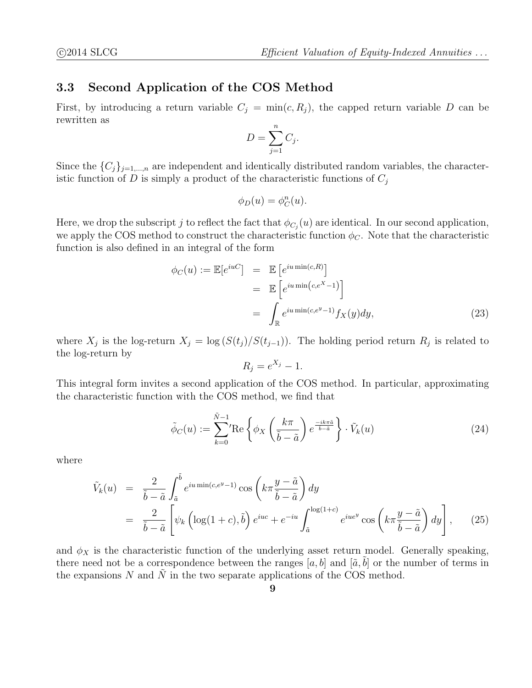### 3.3 Second Application of the COS Method

First, by introducing a return variable  $C_j = \min(c, R_j)$ , the capped return variable D can be rewritten as

$$
D = \sum_{j=1}^{n} C_j.
$$

Since the  $\{C_j\}_{j=1,\dots,n}$  are independent and identically distributed random variables, the characteristic function of D is simply a product of the characteristic functions of  $C_j$ 

$$
\phi_D(u) = \phi_C^n(u).
$$

Here, we drop the subscript j to reflect the fact that  $\phi_{C_j}(u)$  are identical. In our second application, we apply the COS method to construct the characteristic function  $\phi_C$ . Note that the characteristic function is also defined in an integral of the form

$$
\begin{aligned}\n\phi_C(u) &:= \mathbb{E}[e^{iuC}] &= \mathbb{E}\left[e^{iu\min(c,R)}\right] \\
&= \mathbb{E}\left[e^{iu\min(c,e^X-1)}\right] \\
&= \int_{\mathbb{R}} e^{iu\min(c,e^y-1)} f_X(y) dy,\n\end{aligned} \tag{23}
$$

where  $X_j$  is the log-return  $X_j = \log(S(t_j)/S(t_{j-1}))$ . The holding period return  $R_j$  is related to the log-return by

$$
R_j = e^{X_j} - 1.
$$

This integral form invites a second application of the COS method. In particular, approximating the characteristic function with the COS method, we find that

<span id="page-8-0"></span>
$$
\tilde{\phi}_C(u) := \sum_{k=0}^{\tilde{N}-1} \text{Re}\left\{\phi_X\left(\frac{k\pi}{\tilde{b}-\tilde{a}}\right)e^{\frac{-ik\pi\tilde{a}}{\tilde{b}-\tilde{a}}}\right\} \cdot \tilde{V}_k(u) \tag{24}
$$

where

$$
\tilde{V}_k(u) = \frac{2}{\tilde{b} - \tilde{a}} \int_{\tilde{a}}^{\tilde{b}} e^{iu \min(c, e^y - 1)} \cos \left( k \pi \frac{y - \tilde{a}}{\tilde{b} - \tilde{a}} \right) dy
$$
\n
$$
= \frac{2}{\tilde{b} - \tilde{a}} \left[ \psi_k \left( \log(1 + c), \tilde{b} \right) e^{iuc} + e^{-iu} \int_{\tilde{a}}^{\log(1 + c)} e^{iue^y} \cos \left( k \pi \frac{y - \tilde{a}}{\tilde{b} - \tilde{a}} \right) dy \right], \quad (25)
$$

and  $\phi_X$  is the characteristic function of the underlying asset return model. Generally speaking, there need not be a correspondence between the ranges [a, b] and [ $\tilde{a}$ , b] or the number of terms in the expansions N and  $\tilde{N}$  in the two separate applications of the COS method.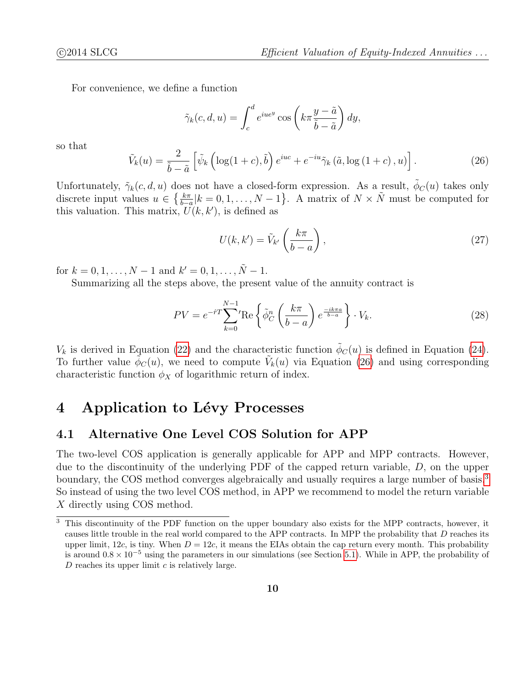For convenience, we define a function

<span id="page-9-1"></span>
$$
\tilde{\gamma}_k(c, d, u) = \int_c^d e^{iue^y} \cos\left(k\pi \frac{y - \tilde{a}}{\tilde{b} - \tilde{a}}\right) dy,
$$

so that

$$
\tilde{V}_k(u) = \frac{2}{\tilde{b} - \tilde{a}} \left[ \tilde{\psi}_k \left( \log(1 + c), \tilde{b} \right) e^{iuc} + e^{-iu} \tilde{\gamma}_k \left( \tilde{a}, \log \left( 1 + c \right), u \right) \right]. \tag{26}
$$

Unfortunately,  $\tilde{\gamma}_k(c, d, u)$  does not have a closed-form expression. As a result,  $\tilde{\phi}_C(u)$  takes only discrete input values  $u \in \{\frac{k\pi}{b-a}|k=0,1,\ldots,N-1\}$ . A matrix of  $N \times \tilde{N}$  must be computed for this valuation. This matrix,  $\tilde{U}(k, k')$ , is defined as

<span id="page-9-3"></span>
$$
U(k, k') = \tilde{V}_{k'} \left(\frac{k\pi}{b-a}\right),\tag{27}
$$

for  $k = 0, 1, ..., N - 1$  and  $k' = 0, 1, ..., \tilde{N} - 1$ .

Summarizing all the steps above, the present value of the annuity contract is

$$
PV = e^{-\hat{r}T} \sum_{k=0}^{N-1} \text{Re}\left\{\tilde{\phi}_C^n \left(\frac{k\pi}{b-a}\right) e^{\frac{-ik\pi a}{b-a}}\right\} \cdot V_k. \tag{28}
$$

 $V_k$  is derived in Equation [\(22\)](#page-7-1) and the characteristic function  $\phi_C(u)$  is defined in Equation [\(24\)](#page-8-0). To further value  $\tilde{\phi}_C(u)$ , we need to compute  $\tilde{V}_k(u)$  via Equation [\(26\)](#page-9-1) and using corresponding characteristic function  $\phi_X$  of logarithmic return of index.

# <span id="page-9-0"></span>4 Application to Lévy Processes

### <span id="page-9-2"></span>4.1 Alternative One Level COS Solution for APP

The two-level COS application is generally applicable for APP and MPP contracts. However, due to the discontinuity of the underlying PDF of the capped return variable,  $D$ , on the upper boundary, the COS method converges algebraically and usually requires a large number of basis.<sup>[3](#page-0-0)</sup> So instead of using the two level COS method, in APP we recommend to model the return variable X directly using COS method.

<sup>&</sup>lt;sup>3</sup> This discontinuity of the PDF function on the upper boundary also exists for the MPP contracts, however, it causes little trouble in the real world compared to the APP contracts. In MPP the probability that D reaches its upper limit, 12c, is tiny. When  $D = 12c$ , it means the EIAs obtain the cap return every month. This probability is around  $0.8 \times 10^{-5}$  using the parameters in our simulations (see Section [5.1\)](#page-13-1). While in APP, the probability of D reaches its upper limit  $c$  is relatively large.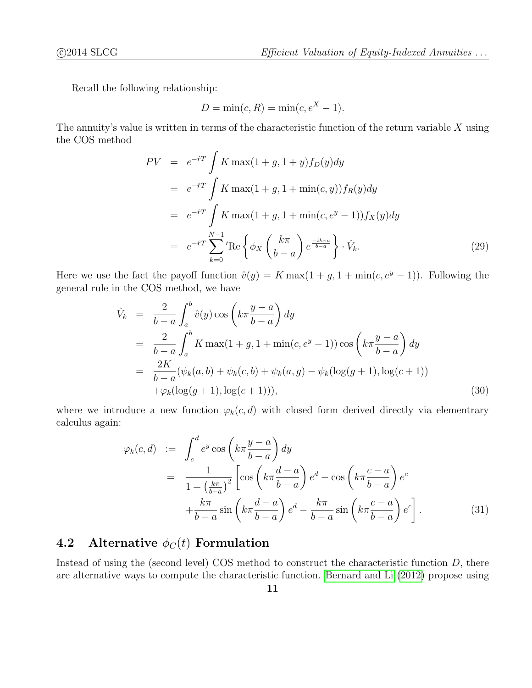Recall the following relationship:

$$
D = \min(c, R) = \min(c, e^X - 1).
$$

The annuity's value is written in terms of the characteristic function of the return variable  $X$  using the COS method

$$
PV = e^{-\hat{r}T} \int K \max(1+g, 1+y) f_D(y) dy
$$
  
\n
$$
= e^{-\hat{r}T} \int K \max(1+g, 1+\min(c, y)) f_R(y) dy
$$
  
\n
$$
= e^{-\hat{r}T} \int K \max(1+g, 1+\min(c, e^y - 1)) f_X(y) dy
$$
  
\n
$$
= e^{-\hat{r}T} \sum_{k=0}^{N-1} \text{Re} \left\{ \phi_X \left( \frac{k\pi}{b-a} \right) e^{\frac{-ik\pi a}{b-a}} \right\} \cdot \hat{V}_k.
$$
 (29)

Here we use the fact the payoff function  $\hat{v}(y) = K \max(1 + g, 1 + \min(c, e^y - 1))$ . Following the general rule in the COS method, we have

$$
\hat{V}_k = \frac{2}{b-a} \int_a^b \hat{v}(y) \cos\left(k\pi \frac{y-a}{b-a}\right) dy \n= \frac{2}{b-a} \int_a^b K \max(1+g, 1 + \min(c, e^y - 1)) \cos\left(k\pi \frac{y-a}{b-a}\right) dy \n= \frac{2K}{b-a} (\psi_k(a, b) + \psi_k(c, b) + \psi_k(a, g) - \psi_k(\log(g+1), \log(c+1)) \n+ \varphi_k(\log(g+1), \log(c+1))),
$$
\n(30)

where we introduce a new function  $\varphi_k(c, d)$  with closed form derived directly via elementrary calculus again:

$$
\varphi_k(c,d) := \int_c^d e^y \cos\left(k\pi \frac{y-a}{b-a}\right) dy
$$
  
= 
$$
\frac{1}{1 + \left(\frac{k\pi}{b-a}\right)^2} \left[ \cos\left(k\pi \frac{d-a}{b-a}\right) e^d - \cos\left(k\pi \frac{c-a}{b-a}\right) e^c + \frac{k\pi}{b-a} \sin\left(k\pi \frac{d-a}{b-a}\right) e^d - \frac{k\pi}{b-a} \sin\left(k\pi \frac{c-a}{b-a}\right) e^c \right].
$$
 (31)

### <span id="page-10-0"></span>4.2 Alternative  $\phi_C(t)$  Formulation

Instead of using the (second level) COS method to construct the characteristic function  $D$ , there are alternative ways to compute the characteristic function. [Bernard and Li \(2012\)](#page-20-11) propose using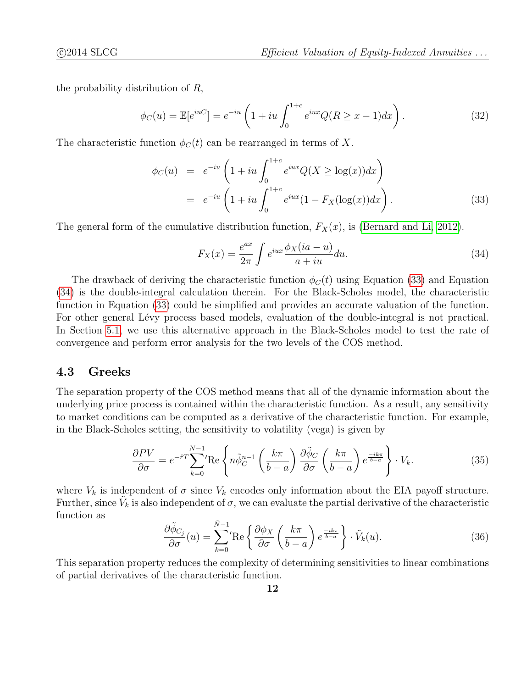the probability distribution of R,

$$
\phi_C(u) = \mathbb{E}[e^{iuC}] = e^{-iu} \left(1 + iu \int_0^{1+c} e^{iux} Q(R \ge x - 1) dx\right).
$$
 (32)

The characteristic function  $\phi_C(t)$  can be rearranged in terms of X.

<span id="page-11-0"></span>
$$
\phi_C(u) = e^{-iu} \left( 1 + iu \int_0^{1+c} e^{iux} Q(X \ge \log(x)) dx \right)
$$
  
=  $e^{-iu} \left( 1 + iu \int_0^{1+c} e^{iux} (1 - F_X(\log(x)) dx \right).$  (33)

The general form of the cumulative distribution function,  $F_X(x)$ , is [\(Bernard and Li, 2012\)](#page-20-11).

<span id="page-11-1"></span>
$$
F_X(x) = \frac{e^{ax}}{2\pi} \int e^{iux} \frac{\phi_X(ia - u)}{a + iu} du.
$$
\n(34)

The drawback of deriving the characteristic function  $\phi_C(t)$  using Equation [\(33\)](#page-11-0) and Equation [\(34\)](#page-11-1) is the double-integral calculation therein. For the Black-Scholes model, the characteristic function in Equation [\(33\)](#page-11-0) could be simplified and provides an accurate valuation of the function. For other general Lévy process based models, evaluation of the double-integral is not practical. In Section [5.1,](#page-13-1) we use this alternative approach in the Black-Scholes model to test the rate of convergence and perform error analysis for the two levels of the COS method.

#### 4.3 Greeks

The separation property of the COS method means that all of the dynamic information about the underlying price process is contained within the characteristic function. As a result, any sensitivity to market conditions can be computed as a derivative of the characteristic function. For example, in the Black-Scholes setting, the sensitivity to volatility (vega) is given by

$$
\frac{\partial PV}{\partial \sigma} = e^{-\hat{r}T} \sum_{k=0}^{N-1} \text{Re} \left\{ n \tilde{\phi}_C^{n-1} \left( \frac{k\pi}{b-a} \right) \frac{\partial \tilde{\phi}_C}{\partial \sigma} \left( \frac{k\pi}{b-a} \right) e^{\frac{-ik\pi}{b-a}} \right\} \cdot V_k. \tag{35}
$$

where  $V_k$  is independent of  $\sigma$  since  $V_k$  encodes only information about the EIA payoff structure. Further, since  $\tilde{V}_k$  is also independent of  $\sigma$ , we can evaluate the partial derivative of the characteristic function as

$$
\frac{\partial \tilde{\phi}_{C_j}}{\partial \sigma}(u) = \sum_{k=0}^{\tilde{N}-1} \text{Re}\left\{\frac{\partial \phi_X}{\partial \sigma}\left(\frac{k\pi}{b-a}\right) e^{\frac{-ik\pi}{b-a}}\right\} \cdot \tilde{V}_k(u). \tag{36}
$$

This separation property reduces the complexity of determining sensitivities to linear combinations of partial derivatives of the characteristic function.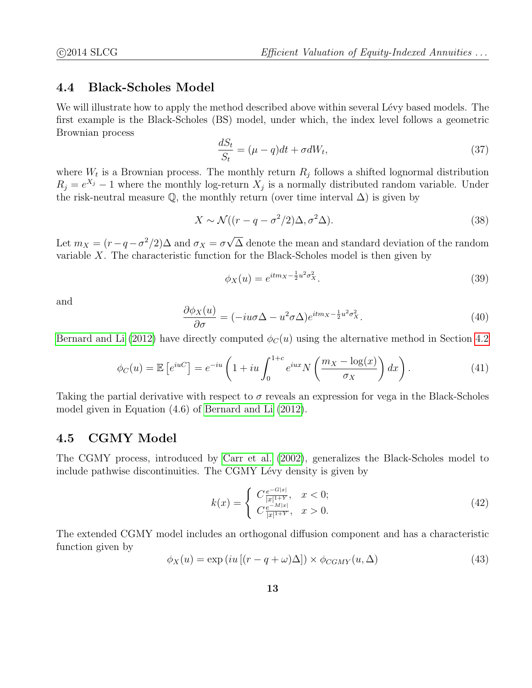### 4.4 Black-Scholes Model

We will illustrate how to apply the method described above within several Lévy based models. The first example is the Black-Scholes (BS) model, under which, the index level follows a geometric Brownian process

$$
\frac{dS_t}{S_t} = (\mu - q)dt + \sigma dW_t,\tag{37}
$$

where  $W_t$  is a Brownian process. The monthly return  $R_j$  follows a shifted lognormal distribution  $R_j = e^{X_j} - 1$  where the monthly log-return  $X_j$  is a normally distributed random variable. Under the risk-neutral measure  $\mathbb Q$ , the monthly return (over time interval  $\Delta$ ) is given by

$$
X \sim \mathcal{N}((r - q - \sigma^2/2)\Delta, \sigma^2\Delta). \tag{38}
$$

Let  $m_X = (r - q - \sigma^2/2)\Delta$  and  $\sigma_X = \sigma$ √ ∆ denote the mean and standard deviation of the random variable  $X$ . The characteristic function for the Black-Scholes model is then given by

$$
\phi_X(u) = e^{itm_X - \frac{1}{2}u^2 \sigma_X^2}.
$$
\n(39)

and

$$
\frac{\partial \phi_X(u)}{\partial \sigma} = (-iu\sigma \Delta - u^2 \sigma \Delta)e^{itm_X - \frac{1}{2}u^2 \sigma_X^2}.
$$
\n(40)

[Bernard and Li \(2012\)](#page-20-11) have directly computed  $\phi_C(u)$  using the alternative method in Section [4.2](#page-10-0)

<span id="page-12-0"></span>
$$
\phi_C(u) = \mathbb{E}\left[e^{iuC}\right] = e^{-iu}\left(1 + iu \int_0^{1+c} e^{iux} N\left(\frac{m_X - \log(x)}{\sigma_X}\right) dx\right). \tag{41}
$$

Taking the partial derivative with respect to  $\sigma$  reveals an expression for vega in the Black-Scholes model given in Equation (4.6) of [Bernard and Li \(2012\)](#page-20-11).

#### 4.5 CGMY Model

The CGMY process, introduced by [Carr et al. \(2002\)](#page-20-12), generalizes the Black-Scholes model to include pathwise discontinuities. The CGMY Lévy density is given by

$$
k(x) = \begin{cases} C \frac{e^{-G|x|}}{|x|^{1+Y}}, & x < 0; \\ C \frac{e^{-M|x|}}{|x|^{1+Y}}, & x > 0. \end{cases}
$$
 (42)

The extended CGMY model includes an orthogonal diffusion component and has a characteristic function given by

$$
\phi_X(u) = \exp\left(iu\left[(r - q + \omega)\Delta\right]\right) \times \phi_{CGMY}(u, \Delta)
$$
\n(43)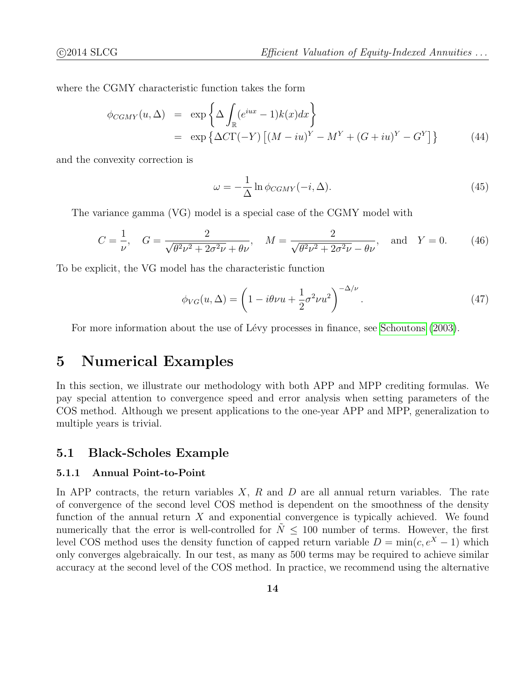where the CGMY characteristic function takes the form

$$
\phi_{CGMY}(u, \Delta) = \exp \left\{ \Delta \int_{\mathbb{R}} (e^{iux} - 1)k(x)dx \right\}
$$
  
= 
$$
\exp \left\{ \Delta C \Gamma(-Y) \left[ (M - iu)^Y - M^Y + (G + iu)^Y - G^Y \right] \right\}
$$
(44)

and the convexity correction is

$$
\omega = -\frac{1}{\Delta} \ln \phi_{CGMY}(-i, \Delta). \tag{45}
$$

The variance gamma (VG) model is a special case of the CGMY model with

$$
C = \frac{1}{\nu}, \quad G = \frac{2}{\sqrt{\theta^2 \nu^2 + 2\sigma^2 \nu} + \theta \nu}, \quad M = \frac{2}{\sqrt{\theta^2 \nu^2 + 2\sigma^2 \nu} - \theta \nu}, \quad \text{and} \quad Y = 0. \tag{46}
$$

To be explicit, the VG model has the characteristic function

$$
\phi_{VG}(u,\Delta) = \left(1 - i\theta\nu u + \frac{1}{2}\sigma^2\nu u^2\right)^{-\Delta/\nu}.\tag{47}
$$

For more information about the use of Lévy processes in finance, see [Schoutons \(2003\)](#page-21-9).

## <span id="page-13-0"></span>5 Numerical Examples

In this section, we illustrate our methodology with both APP and MPP crediting formulas. We pay special attention to convergence speed and error analysis when setting parameters of the COS method. Although we present applications to the one-year APP and MPP, generalization to multiple years is trivial.

#### <span id="page-13-1"></span>5.1 Black-Scholes Example

#### 5.1.1 Annual Point-to-Point

In APP contracts, the return variables  $X$ ,  $R$  and  $D$  are all annual return variables. The rate of convergence of the second level COS method is dependent on the smoothness of the density function of the annual return  $X$  and exponential convergence is typically achieved. We found numerically that the error is well-controlled for  $N \leq 100$  number of terms. However, the first level COS method uses the density function of capped return variable  $D = \min(c, e^X - 1)$  which only converges algebraically. In our test, as many as 500 terms may be required to achieve similar accuracy at the second level of the COS method. In practice, we recommend using the alternative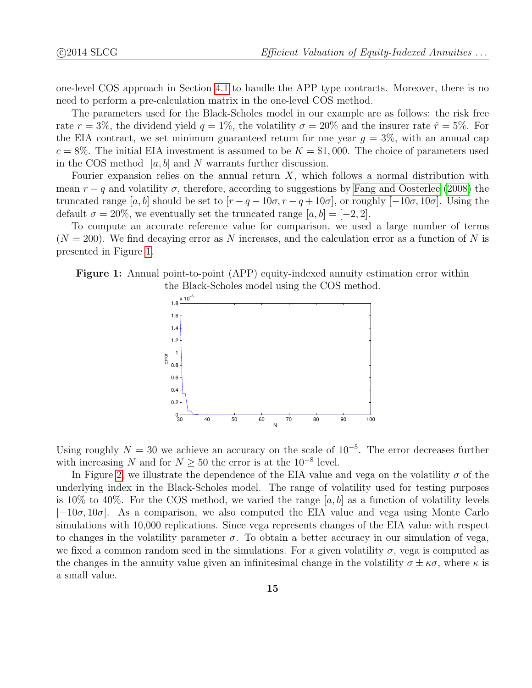one-level COS approach in Section [4.1](#page-9-2) to handle the APP type contracts. Moreover, there is no need to perform a pre-calculation matrix in the one-level COS method.

The parameters used for the Black-Scholes model in our example are as follows: the risk free rate  $r = 3\%$ , the dividend yield  $q = 1\%$ , the volatility  $\sigma = 20\%$  and the insurer rate  $\hat{r} = 5\%$ . For the EIA contract, we set minimum guaranteed return for one year  $g = 3\%$ , with an annual cap  $c = 8\%$ . The initial EIA investment is assumed to be  $K = $1,000$ . The choice of parameters used in the COS method  $[a, b]$  and N warrants further discussion.

Fourier expansion relies on the annual return  $X$ , which follows a normal distribution with mean  $r - q$  and volatility  $\sigma$ , therefore, according to suggestions by [Fang and Oosterlee \(2008\)](#page-20-0) the truncated range [a, b] should be set to  $[r - q - 10\sigma, r - q + 10\sigma]$ , or roughly [-10 $\sigma$ , 10 $\sigma$ ]. Using the default  $\sigma = 20\%$ , we eventually set the truncated range  $[a, b] = [-2, 2]$ .

To compute an accurate reference value for comparison, we used a large number of terms  $(N = 200)$ . We find decaying error as N increases, and the calculation error as a function of N is presented in Figure [1.](#page-14-0)

<span id="page-14-0"></span>Figure 1: Annual point-to-point (APP) equity-indexed annuity estimation error within the Black-Scholes model using the COS method.



Using roughly  $N = 30$  we achieve an accuracy on the scale of  $10^{-5}$ . The error decreases further with increasing N and for  $N \geq 50$  the error is at the 10<sup>-8</sup> level.

In Figure [2,](#page-15-0) we illustrate the dependence of the EIA value and vega on the volatility  $\sigma$  of the underlying index in the Black-Scholes model. The range of volatility used for testing purposes is 10% to 40%. For the COS method, we varied the range  $[a, b]$  as a function of volatility levels  $[-10\sigma, 10\sigma]$ . As a comparison, we also computed the EIA value and vega using Monte Carlo simulations with 10,000 replications. Since vega represents changes of the EIA value with respect to changes in the volatility parameter  $\sigma$ . To obtain a better accuracy in our simulation of vega, we fixed a common random seed in the simulations. For a given volatility  $\sigma$ , vega is computed as the changes in the annuity value given an infinitesimal change in the volatility  $\sigma \pm \kappa \sigma$ , where  $\kappa$  is a small value.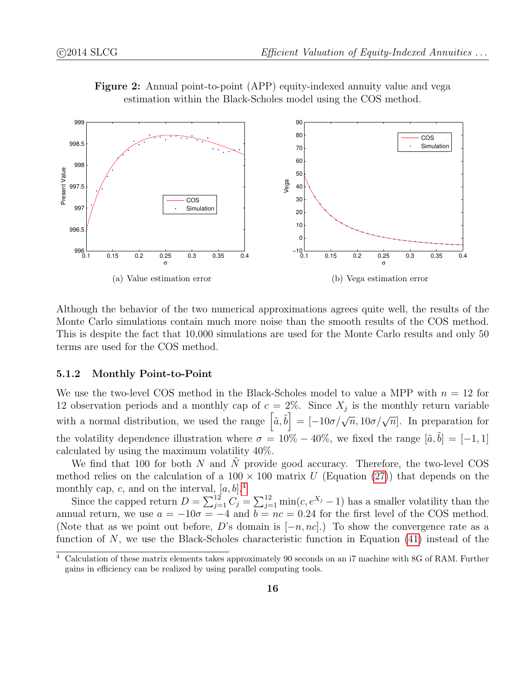

Figure 2: Annual point-to-point (APP) equity-indexed annuity value and vega estimation within the Black-Scholes model using the COS method.

<span id="page-15-0"></span>Although the behavior of the two numerical approximations agrees quite well, the results of the Monte Carlo simulations contain much more noise than the smooth results of the COS method. This is despite the fact that 10,000 simulations are used for the Monte Carlo results and only 50 terms are used for the COS method.

#### 5.1.2 Monthly Point-to-Point

We use the two-level COS method in the Black-Scholes model to value a MPP with  $n = 12$  for 12 observation periods and a monthly cap of  $c = 2\%$ . Since  $X_j$  is the monthly return variable with a normal distribution, we used the range  $\left[\tilde{a}, \tilde{b}\right] = \left[-10\sigma/\sqrt{n}, 10\sigma/\sqrt{n}\right]$ . In preparation for the volatility dependence illustration where  $\sigma = 10\% - 40\%$ , we fixed the range  $[\tilde{a}, \tilde{b}] = [-1, 1]$ calculated by using the maximum volatility 40%.

We find that 100 for both  $N$  and  $N$  provide good accuracy. Therefore, the two-level COS method relies on the calculation of a  $100 \times 100$  matrix U (Equation [\(27\)](#page-9-3)) that depends on the monthly cap, c, and on the interval,  $[a, b]$ <sup>[4](#page-0-0)</sup>

Since the capped return  $D = \sum_{j=1}^{12} C_j = \sum_{j=1}^{12} \min(c, e^{X_j} - 1)$  has a smaller volatility than the annual return, we use  $a = -10\sigma = -4$  and  $b = nc = 0.24$  for the first level of the COS method. (Note that as we point out before, D's domain is  $[-n, nc]$ .) To show the convergence rate as a function of N, we use the Black-Scholes characteristic function in Equation  $(41)$  instead of the

<sup>4</sup> Calculation of these matrix elements takes approximately 90 seconds on an i7 machine with 8G of RAM. Further gains in efficiency can be realized by using parallel computing tools.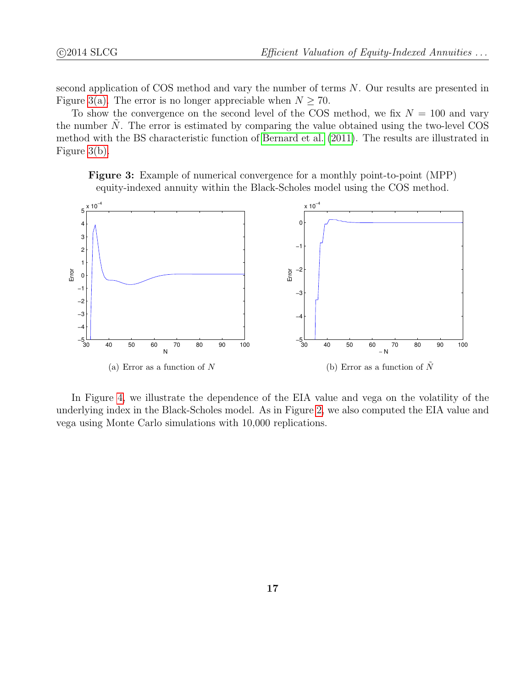second application of COS method and vary the number of terms N. Our results are presented in Figure [3\(a\).](#page-16-0) The error is no longer appreciable when  $N \geq 70$ .

To show the convergence on the second level of the COS method, we fix  $N = 100$  and vary the number  $N$ . The error is estimated by comparing the value obtained using the two-level COS method with the BS characteristic function of [Bernard et al. \(2011\)](#page-20-7). The results are illustrated in Figure [3\(b\).](#page-16-1)

Figure 3: Example of numerical convergence for a monthly point-to-point (MPP) equity-indexed annuity within the Black-Scholes model using the COS method.

<span id="page-16-0"></span>

<span id="page-16-1"></span>In Figure [4,](#page-17-0) we illustrate the dependence of the EIA value and vega on the volatility of the underlying index in the Black-Scholes model. As in Figure [2,](#page-15-0) we also computed the EIA value and vega using Monte Carlo simulations with 10,000 replications.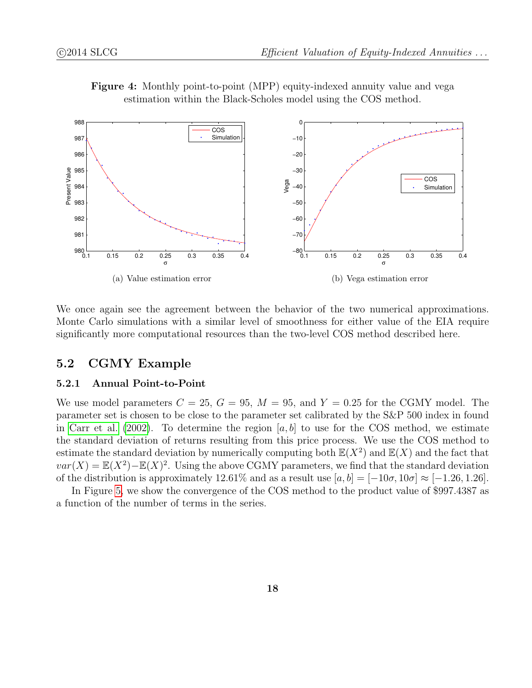

Figure 4: Monthly point-to-point (MPP) equity-indexed annuity value and vega estimation within the Black-Scholes model using the COS method.

<span id="page-17-0"></span>We once again see the agreement between the behavior of the two numerical approximations. Monte Carlo simulations with a similar level of smoothness for either value of the EIA require significantly more computational resources than the two-level COS method described here.

#### 5.2 CGMY Example

#### 5.2.1 Annual Point-to-Point

We use model parameters  $C = 25$ ,  $G = 95$ ,  $M = 95$ , and  $Y = 0.25$  for the CGMY model. The parameter set is chosen to be close to the parameter set calibrated by the S&P 500 index in found in [Carr et al. \(2002\)](#page-20-12). To determine the region  $[a, b]$  to use for the COS method, we estimate the standard deviation of returns resulting from this price process. We use the COS method to estimate the standard deviation by numerically computing both  $\mathbb{E}(X^2)$  and  $\mathbb{E}(X)$  and the fact that  $var(X) = \mathbb{E}(X^2) - \mathbb{E}(X)^2$ . Using the above CGMY parameters, we find that the standard deviation of the distribution is approximately 12.61% and as a result use  $[a, b] = [-10\sigma, 10\sigma] \approx [-1.26, 1.26]$ .

In Figure [5,](#page-18-0) we show the convergence of the COS method to the product value of \$997.4387 as a function of the number of terms in the series.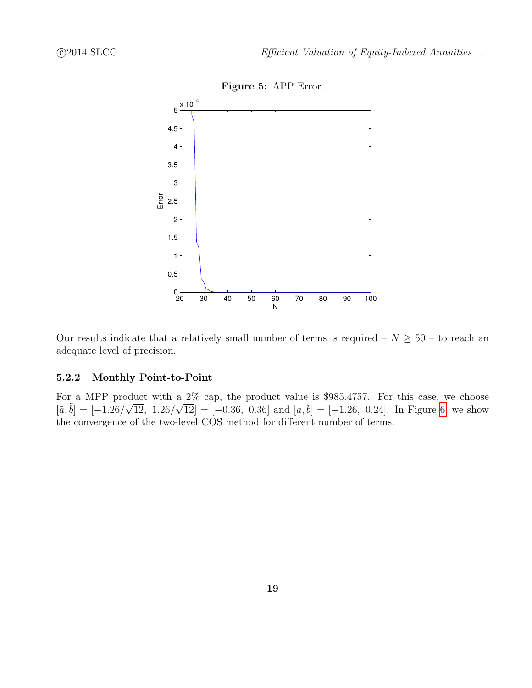<span id="page-18-0"></span>

Our results indicate that a relatively small number of terms is required –  $N \geq 50$  – to reach an adequate level of precision.

#### 5.2.2 Monthly Point-to-Point

For a MPP product with a 2% cap, the product value is \$985.4757. For this case, we choose  $[\tilde{a}, \tilde{b}] = [-1.26/\sqrt{12}, 1.26/\sqrt{12}] = [-0.36, 0.36]$  and  $[a, b] = [-1.26, 0.24]$ . In Figure [6,](#page-19-0) we show the convergence of the two-level COS method for different number of terms.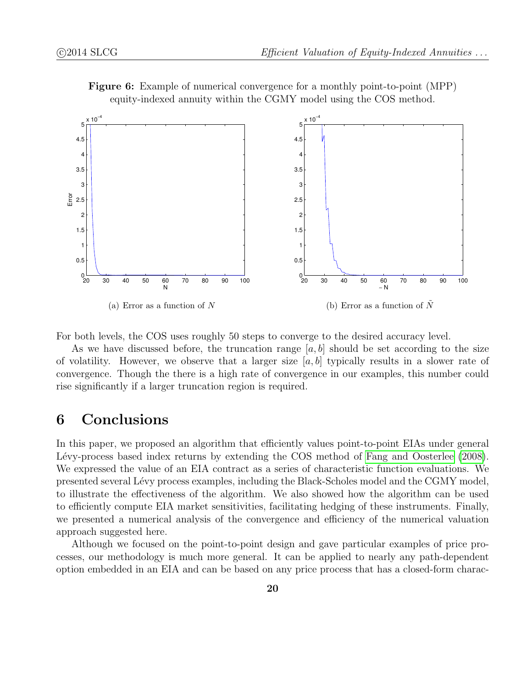

Figure 6: Example of numerical convergence for a monthly point-to-point (MPP) equity-indexed annuity within the CGMY model using the COS method.

<span id="page-19-0"></span>For both levels, the COS uses roughly 50 steps to converge to the desired accuracy level.

As we have discussed before, the truncation range  $[a, b]$  should be set according to the size of volatility. However, we observe that a larger size  $[a, b]$  typically results in a slower rate of convergence. Though the there is a high rate of convergence in our examples, this number could rise significantly if a larger truncation region is required.

# 6 Conclusions

In this paper, we proposed an algorithm that efficiently values point-to-point EIAs under general Lévy-process based index returns by extending the COS method of [Fang and Oosterlee \(2008\)](#page-20-0). We expressed the value of an EIA contract as a series of characteristic function evaluations. We presented several Lévy process examples, including the Black-Scholes model and the CGMY model, to illustrate the effectiveness of the algorithm. We also showed how the algorithm can be used to efficiently compute EIA market sensitivities, facilitating hedging of these instruments. Finally, we presented a numerical analysis of the convergence and efficiency of the numerical valuation approach suggested here.

Although we focused on the point-to-point design and gave particular examples of price processes, our methodology is much more general. It can be applied to nearly any path-dependent option embedded in an EIA and can be based on any price process that has a closed-form charac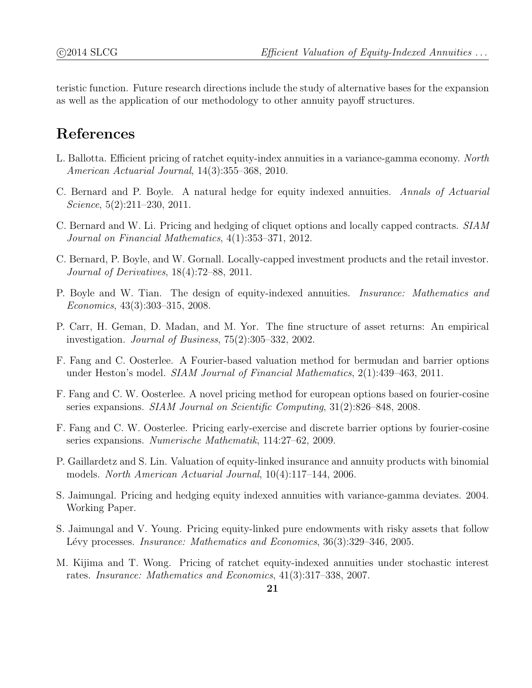teristic function. Future research directions include the study of alternative bases for the expansion as well as the application of our methodology to other annuity payoff structures.

# References

- <span id="page-20-6"></span>L. Ballotta. Efficient pricing of ratchet equity-index annuities in a variance-gamma economy. North American Actuarial Journal, 14(3):355–368, 2010.
- <span id="page-20-8"></span>C. Bernard and P. Boyle. A natural hedge for equity indexed annuities. Annals of Actuarial Science, 5(2):211–230, 2011.
- <span id="page-20-11"></span>C. Bernard and W. Li. Pricing and hedging of cliquet options and locally capped contracts. SIAM Journal on Financial Mathematics, 4(1):353–371, 2012.
- <span id="page-20-7"></span>C. Bernard, P. Boyle, and W. Gornall. Locally-capped investment products and the retail investor. Journal of Derivatives, 18(4):72–88, 2011.
- <span id="page-20-4"></span>P. Boyle and W. Tian. The design of equity-indexed annuities. Insurance: Mathematics and Economics, 43(3):303–315, 2008.
- <span id="page-20-12"></span>P. Carr, H. Geman, D. Madan, and M. Yor. The fine structure of asset returns: An empirical investigation. Journal of Business, 75(2):305–332, 2002.
- <span id="page-20-10"></span>F. Fang and C. Oosterlee. A Fourier-based valuation method for bermudan and barrier options under Heston's model. SIAM Journal of Financial Mathematics, 2(1):439–463, 2011.
- <span id="page-20-0"></span>F. Fang and C. W. Oosterlee. A novel pricing method for european options based on fourier-cosine series expansions. SIAM Journal on Scientific Computing, 31(2):826–848, 2008.
- <span id="page-20-9"></span>F. Fang and C. W. Oosterlee. Pricing early-exercise and discrete barrier options by fourier-cosine series expansions. Numerische Mathematik, 114:27–62, 2009.
- <span id="page-20-3"></span>P. Gaillardetz and S. Lin. Valuation of equity-linked insurance and annuity products with binomial models. North American Actuarial Journal, 10(4):117–144, 2006.
- <span id="page-20-1"></span>S. Jaimungal. Pricing and hedging equity indexed annuities with variance-gamma deviates. 2004. Working Paper.
- <span id="page-20-2"></span>S. Jaimungal and V. Young. Pricing equity-linked pure endowments with risky assets that follow Lévy processes. *Insurance: Mathematics and Economics*, 36(3):329–346, 2005.
- <span id="page-20-5"></span>M. Kijima and T. Wong. Pricing of ratchet equity-indexed annuities under stochastic interest rates. Insurance: Mathematics and Economics, 41(3):317–338, 2007.